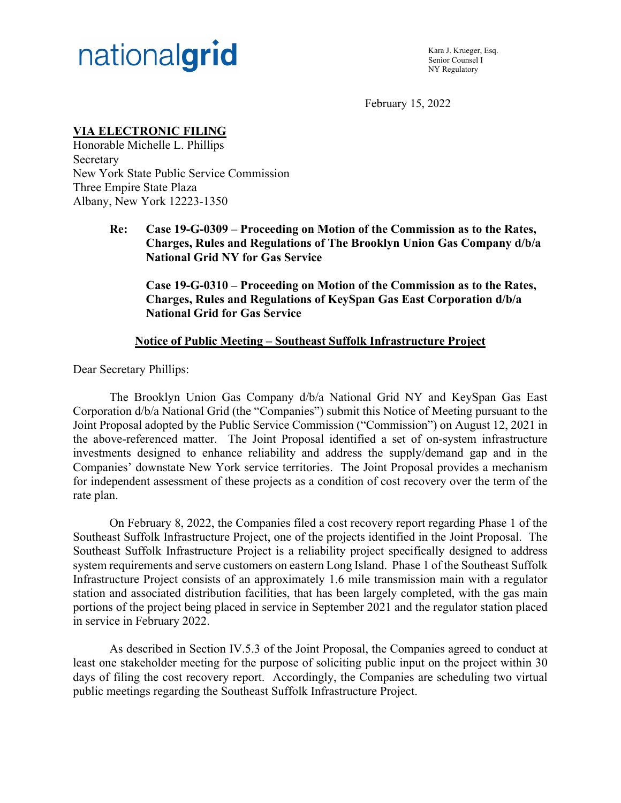

Kara J. Krueger, Esq. Senior Counsel I NY Regulatory

February 15, 2022

# **VIA ELECTRONIC FILING**

Honorable Michelle L. Phillips Secretary New York State Public Service Commission Three Empire State Plaza Albany, New York 12223-1350

> **Re: Case 19-G-0309 – Proceeding on Motion of the Commission as to the Rates, Charges, Rules and Regulations of The Brooklyn Union Gas Company d/b/a National Grid NY for Gas Service**

**Case 19-G-0310 – Proceeding on Motion of the Commission as to the Rates, Charges, Rules and Regulations of KeySpan Gas East Corporation d/b/a National Grid for Gas Service** 

#### **Notice of Public Meeting – Southeast Suffolk Infrastructure Project**

Dear Secretary Phillips:

 The Brooklyn Union Gas Company d/b/a National Grid NY and KeySpan Gas East Corporation d/b/a National Grid (the "Companies") submit this Notice of Meeting pursuant to the Joint Proposal adopted by the Public Service Commission ("Commission") on August 12, 2021 in the above-referenced matter. The Joint Proposal identified a set of on-system infrastructure investments designed to enhance reliability and address the supply/demand gap and in the Companies' downstate New York service territories. The Joint Proposal provides a mechanism for independent assessment of these projects as a condition of cost recovery over the term of the rate plan.

On February 8, 2022, the Companies filed a cost recovery report regarding Phase 1 of the Southeast Suffolk Infrastructure Project, one of the projects identified in the Joint Proposal. The Southeast Suffolk Infrastructure Project is a reliability project specifically designed to address system requirements and serve customers on eastern Long Island. Phase 1 of the Southeast Suffolk Infrastructure Project consists of an approximately 1.6 mile transmission main with a regulator station and associated distribution facilities, that has been largely completed, with the gas main portions of the project being placed in service in September 2021 and the regulator station placed in service in February 2022.

As described in Section IV.5.3 of the Joint Proposal, the Companies agreed to conduct at least one stakeholder meeting for the purpose of soliciting public input on the project within 30 days of filing the cost recovery report. Accordingly, the Companies are scheduling two virtual public meetings regarding the Southeast Suffolk Infrastructure Project.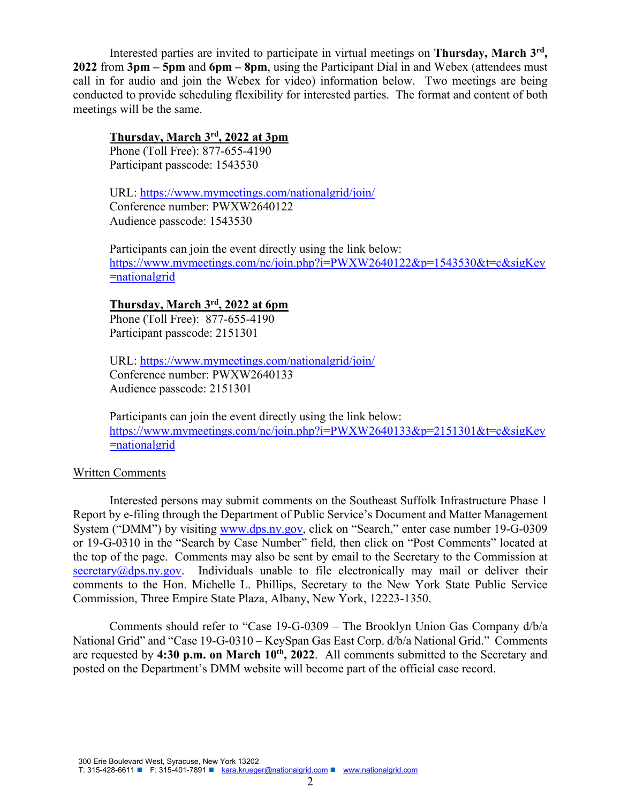Interested parties are invited to participate in virtual meetings on **Thursday, March 3rd, 2022** from **3pm – 5pm** and **6pm – 8pm**, using the Participant Dial in and Webex (attendees must call in for audio and join the Webex for video) information below. Two meetings are being conducted to provide scheduling flexibility for interested parties. The format and content of both meetings will be the same.

## **Thursday, March 3rd, 2022 at 3pm**

Phone (Toll Free): 877-655-4190 Participant passcode: 1543530

URL: https://www.mymeetings.com/nationalgrid/join/ Conference number: PWXW2640122 Audience passcode: 1543530

Participants can join the event directly using the link below: https://www.mymeetings.com/nc/join.php?i=PWXW2640122&p=1543530&t=c&sigKey =nationalgrid

#### **Thursday, March 3rd, 2022 at 6pm**

Phone (Toll Free): 877-655-4190 Participant passcode: 2151301

URL: https://www.mymeetings.com/nationalgrid/join/ Conference number: PWXW2640133 Audience passcode: 2151301

Participants can join the event directly using the link below: https://www.mymeetings.com/nc/join.php?i=PWXW2640133&p=2151301&t=c&sigKey =nationalgrid

## Written Comments

Interested persons may submit comments on the Southeast Suffolk Infrastructure Phase 1 Report by e-filing through the Department of Public Service's Document and Matter Management System ("DMM") by visiting www.dps.ny.gov, click on "Search," enter case number 19-G-0309 or 19-G-0310 in the "Search by Case Number" field, then click on "Post Comments" located at the top of the page. Comments may also be sent by email to the Secretary to the Commission at  $s$ ecretary@dps.ny.gov. Individuals unable to file electronically may mail or deliver their comments to the Hon. Michelle L. Phillips, Secretary to the New York State Public Service Commission, Three Empire State Plaza, Albany, New York, 12223-1350.

Comments should refer to "Case 19-G-0309 – The Brooklyn Union Gas Company d/b/a National Grid" and "Case 19-G-0310 – KeySpan Gas East Corp. d/b/a National Grid." Comments are requested by 4:30 p.m. on March 10<sup>th</sup>, 2022. All comments submitted to the Secretary and posted on the Department's DMM website will become part of the official case record.